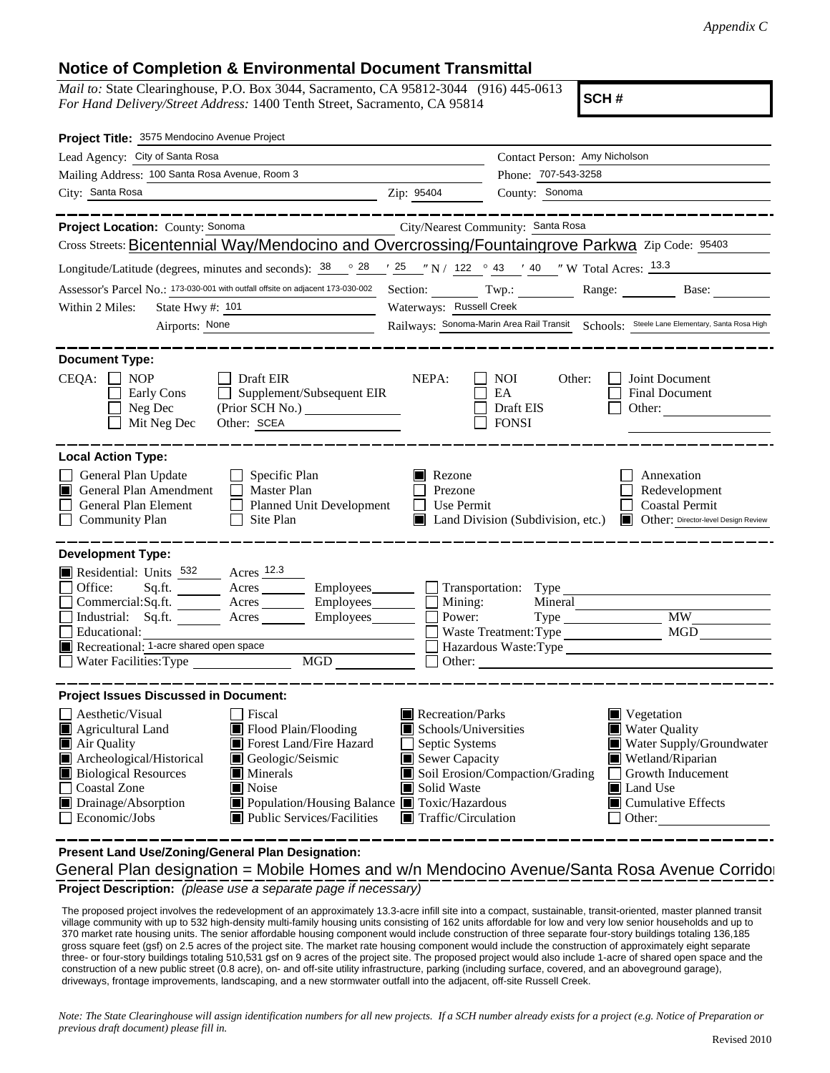## **Notice of Completion & Environmental Document Transmittal**

*Mail to:* State Clearinghouse, P.O. Box 3044, Sacramento, CA 95812-3044 (916) 445-0613 *For Hand Delivery/Street Address:* 1400 Tenth Street, Sacramento, CA 95814

**SCH #**

| Project Title: 3575 Mendocino Avenue Project                                                                                                                                                                                                                                                                                                                                                                 |                                                                                                                                                  |                                                                                                                                                                                                                      |  |  |  |  |
|--------------------------------------------------------------------------------------------------------------------------------------------------------------------------------------------------------------------------------------------------------------------------------------------------------------------------------------------------------------------------------------------------------------|--------------------------------------------------------------------------------------------------------------------------------------------------|----------------------------------------------------------------------------------------------------------------------------------------------------------------------------------------------------------------------|--|--|--|--|
| Lead Agency: City of Santa Rosa                                                                                                                                                                                                                                                                                                                                                                              |                                                                                                                                                  | Contact Person: Amy Nicholson                                                                                                                                                                                        |  |  |  |  |
| Mailing Address: 100 Santa Rosa Avenue, Room 3                                                                                                                                                                                                                                                                                                                                                               |                                                                                                                                                  | Phone: 707-543-3258                                                                                                                                                                                                  |  |  |  |  |
| City: Santa Rosa<br>Zip: 95404                                                                                                                                                                                                                                                                                                                                                                               |                                                                                                                                                  | County: Sonoma                                                                                                                                                                                                       |  |  |  |  |
| Project Location: County: Sonoma<br>City/Nearest Community: Santa Rosa                                                                                                                                                                                                                                                                                                                                       |                                                                                                                                                  |                                                                                                                                                                                                                      |  |  |  |  |
| Cross Streets: Bicentennial Way/Mendocino and Overcrossing/Fountaingrove Parkwa Zip Code: 95403                                                                                                                                                                                                                                                                                                              |                                                                                                                                                  |                                                                                                                                                                                                                      |  |  |  |  |
| Longitude/Latitude (degrees, minutes and seconds): $\frac{38}{9}$ $\frac{28}{1}$ $\frac{25}{1}$ $\frac{1}{2}$ N / 122 $\degree$ 43 $\degree$ 40 $\degree$ W Total Acres: $\frac{13.3}{13}$                                                                                                                                                                                                                   |                                                                                                                                                  |                                                                                                                                                                                                                      |  |  |  |  |
| Assessor's Parcel No.: 173-030-001 with outfall offsite on adjacent 173-030-002                                                                                                                                                                                                                                                                                                                              |                                                                                                                                                  | Section: Twp.: Range: Base: Base:                                                                                                                                                                                    |  |  |  |  |
| State Hwy #: 101<br>Within 2 Miles:<br><u> 1989 - Johann Barnett, fransk politik (</u>                                                                                                                                                                                                                                                                                                                       | Waterways: Russell Creek                                                                                                                         |                                                                                                                                                                                                                      |  |  |  |  |
| Airports: None                                                                                                                                                                                                                                                                                                                                                                                               | Railways: Sonoma-Marin Area Rail Transit Schools: Steele Lane Elementary, Santa Rosa High                                                        |                                                                                                                                                                                                                      |  |  |  |  |
| <b>Document Type:</b>                                                                                                                                                                                                                                                                                                                                                                                        |                                                                                                                                                  |                                                                                                                                                                                                                      |  |  |  |  |
| CEQA:<br>$\Box$ NOP<br>$\Box$ Draft EIR<br>Early Cons<br>$\Box$ Supplement/Subsequent EIR<br>Neg Dec<br>$\Box$ Mit Neg Dec<br>Other: SCEA                                                                                                                                                                                                                                                                    | NEPA:                                                                                                                                            | <b>NOI</b><br>Joint Document<br>Other:<br>EA<br><b>Final Document</b><br>Draft EIS<br>Other:<br><b>FONSI</b>                                                                                                         |  |  |  |  |
| <b>Local Action Type:</b>                                                                                                                                                                                                                                                                                                                                                                                    |                                                                                                                                                  |                                                                                                                                                                                                                      |  |  |  |  |
| General Plan Update<br>$\Box$ Specific Plan<br>General Plan Amendment<br>$\Box$ Master Plan<br>General Plan Element<br>Planned Unit Development<br>$\Box$ Site Plan<br><b>Community Plan</b>                                                                                                                                                                                                                 | Rezone<br>Prezone<br>$\Box$ Use Permit                                                                                                           | Annexation<br>Redevelopment<br><b>Coastal Permit</b><br>Land Division (Subdivision, etc.) <b>In Other:</b> Director-level Design Review                                                                              |  |  |  |  |
| <b>Development Type:</b><br>Residential: Units 532 Acres 12.3<br>Office:<br>Sq.ft. ________ Acres _________ Employees________ __ Transportation: Type _________________________<br>Commercial:Sq.ft. _________ Acres _________ Employees________<br>Industrial: Sq.ft. Acres Employees<br>Educational:<br>Recreational: 1-acre shared open space<br>$\overline{MGD}$                                         | Mining:<br>Power:<br>Power:<br>Other:                                                                                                            | Mineral<br><b>MW</b><br>MGD<br>Waste Treatment: Type<br>Hazardous Waste:Type                                                                                                                                         |  |  |  |  |
| <b>Project Issues Discussed in Document:</b>                                                                                                                                                                                                                                                                                                                                                                 |                                                                                                                                                  |                                                                                                                                                                                                                      |  |  |  |  |
| Aesthetic/Visual<br><b>Fiscal</b><br>Flood Plain/Flooding<br>Agricultural Land<br>Air Quality<br>Forest Land/Fire Hazard<br>Archeological/Historical<br>Geologic/Seismic<br><b>Biological Resources</b><br>$\blacksquare$ Minerals<br><b>Coastal Zone</b><br>$\blacksquare$ Noise<br>■ Population/Housing Balance ■ Toxic/Hazardous<br>Drainage/Absorption<br>Economic/Jobs<br> ■ Public Services/Facilities | Recreation/Parks<br>$\blacksquare$ Schools/Universities<br>Septic Systems<br>Sewer Capacity<br>Solid Waste<br>$\blacksquare$ Traffic/Circulation | Vegetation<br><b>Water Quality</b><br>Water Supply/Groundwater<br>Wetland/Riparian<br>Soil Erosion/Compaction/Grading<br>Growth Inducement<br>$\blacksquare$ Land Use<br>$\blacksquare$ Cumulative Effects<br>Other: |  |  |  |  |

**Project Description:** *(please use a separate page if necessary)* General Plan designation = Mobile Homes and w/n Mendocino Avenue/Santa Rosa Avenue Corrido **Present Land Use/Zoning/General Plan Designation:**

 The proposed project involves the redevelopment of an approximately 13.3-acre infill site into a compact, sustainable, transit-oriented, master planned transit village community with up to 532 high-density multi-family housing units consisting of 162 units affordable for low and very low senior households and up to 370 market rate housing units. The senior affordable housing component would include construction of three separate four-story buildings totaling 136,185 gross square feet (gsf) on 2.5 acres of the project site. The market rate housing component would include the construction of approximately eight separate three- or four-story buildings totaling 510,531 gsf on 9 acres of the project site. The proposed project would also include 1-acre of shared open space and the construction of a new public street (0.8 acre), on- and off-site utility infrastructure, parking (including surface, covered, and an aboveground garage), driveways, frontage improvements, landscaping, and a new stormwater outfall into the adjacent, off-site Russell Creek.

*Note: The State Clearinghouse will assign identification numbers for all new projects. If a SCH number already exists for a project (e.g. Notice of Preparation or previous draft document) please fill in.*